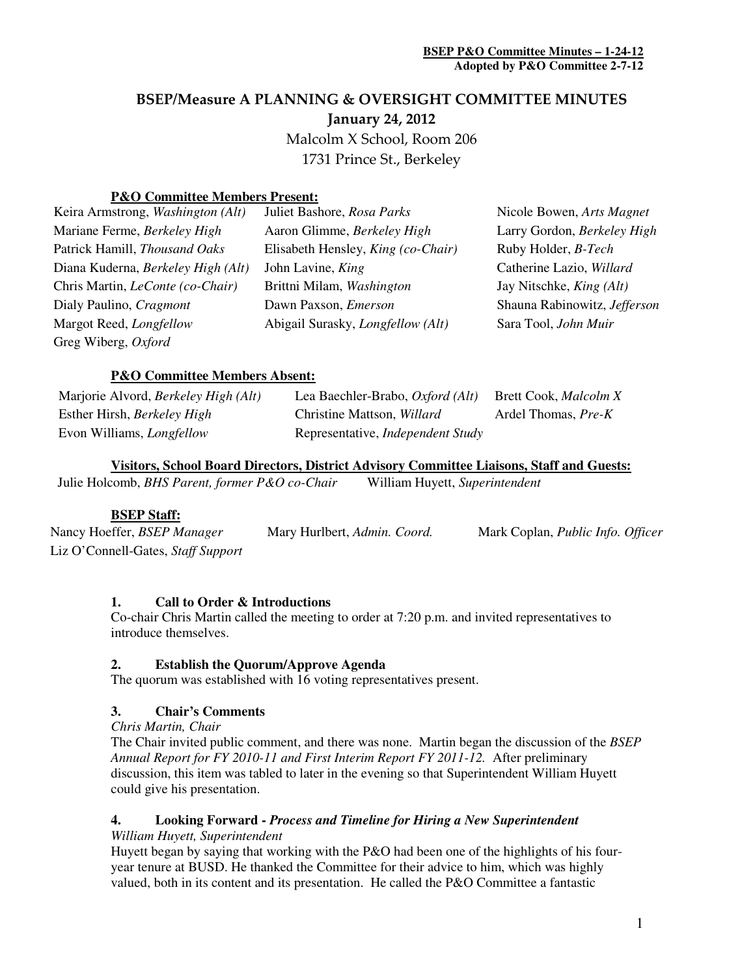# BSEP/Measure A PLANNING & OVERSIGHT COMMITTEE MINUTES January 24, 2012

Malcolm X School, Room 206

1731 Prince St., Berkeley

## **P&O Committee Members Present:**

| Keira Armstrong, Washington (Alt)       | Juliet Bashore, Rosa Parks               | Nicole Bowen, Arts Magnet       |
|-----------------------------------------|------------------------------------------|---------------------------------|
| Mariane Ferme, Berkeley High            | Aaron Glimme, Berkeley High              | Larry Gordon, Berkeley High     |
| Patrick Hamill, Thousand Oaks           | Elisabeth Hensley, King (co-Chair)       | Ruby Holder, B-Tech             |
| Diana Kuderna, Berkeley High (Alt)      | John Lavine, King                        | Catherine Lazio, Willard        |
| Chris Martin, <i>LeConte</i> (co-Chair) | Brittni Milam, Washington                | Jay Nitschke, <i>King (Alt)</i> |
| Dialy Paulino, Cragmont                 | Dawn Paxson, <i>Emerson</i>              | Shauna Rabinowitz, Jefferson    |
| Margot Reed, Longfellow                 | Abigail Surasky, <i>Longfellow</i> (Alt) | Sara Tool, John Muir            |
| Greg Wiberg, Oxford                     |                                          |                                 |

## **P&O Committee Members Absent:**

| Marjorie Alvord, <i>Berkeley High (Alt)</i> | Lea Baechler-Brabo, Oxford (Alt)         | <b>Brett Cook, Malcolm X</b> |
|---------------------------------------------|------------------------------------------|------------------------------|
| Esther Hirsh, <i>Berkeley High</i>          | Christine Mattson, <i>Willard</i>        | Ardel Thomas, Pre-K          |
| Evon Williams, <i>Longfellow</i>            | Representative, <i>Independent Study</i> |                              |

## **Visitors, School Board Directors, District Advisory Committee Liaisons, Staff and Guests:**

Julie Holcomb, *BHS Parent, former P&O co-Chair* William Huyett, *Superintendent*

## **BSEP Staff:**

Nancy Hoeffer, *BSEP Manager* Mary Hurlbert, *Admin. Coord.* Mark Coplan, *Public Info. Officer*  Liz O'Connell-Gates, *Staff Support*

**1. Call to Order & Introductions**  Co-chair Chris Martin called the meeting to order at 7:20 p.m. and invited representatives to introduce themselves.

## **2. Establish the Quorum/Approve Agenda**

The quorum was established with 16 voting representatives present.

## **3. Chair's Comments**

*Chris Martin, Chair*

The Chair invited public comment, and there was none. Martin began the discussion of the *BSEP Annual Report for FY 2010-11 and First Interim Report FY 2011-12.* After preliminary discussion, this item was tabled to later in the evening so that Superintendent William Huyett could give his presentation.

#### **4. Looking Forward -** *Process and Timeline for Hiring a New Superintendent William Huyett, Superintendent*

Huyett began by saying that working with the P&O had been one of the highlights of his fouryear tenure at BUSD. He thanked the Committee for their advice to him, which was highly valued, both in its content and its presentation. He called the P&O Committee a fantastic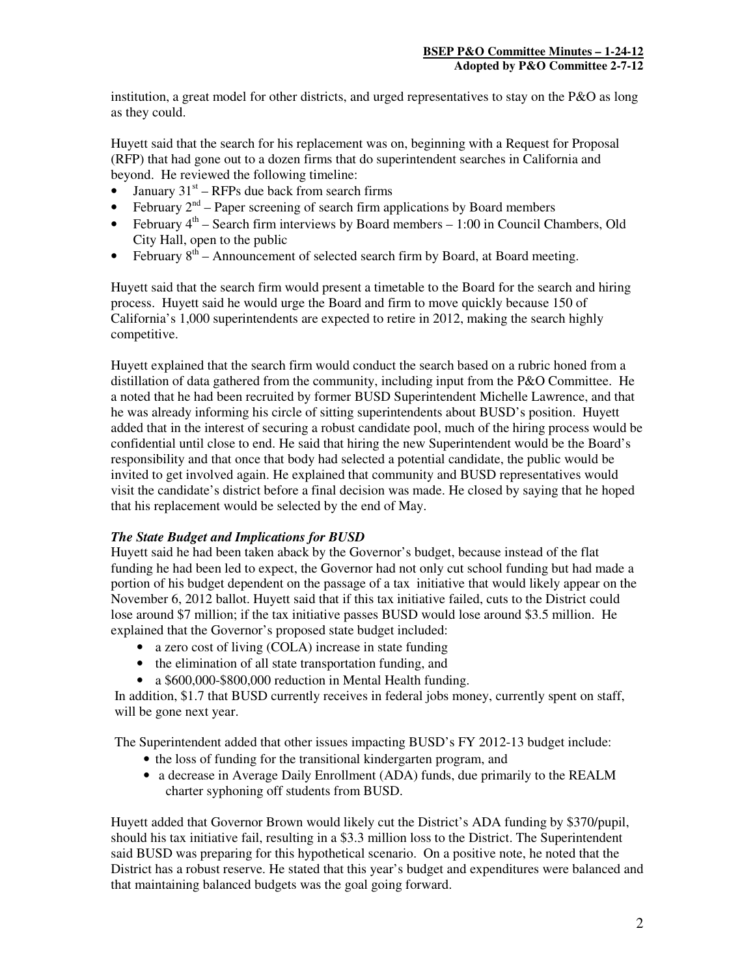institution, a great model for other districts, and urged representatives to stay on the P&O as long as they could.

Huyett said that the search for his replacement was on, beginning with a Request for Proposal (RFP) that had gone out to a dozen firms that do superintendent searches in California and beyond. He reviewed the following timeline:

- January  $31<sup>st</sup>$  RFPs due back from search firms
- February  $2^{nd}$  Paper screening of search firm applications by Board members
- February  $4<sup>th</sup>$  Search firm interviews by Board members 1:00 in Council Chambers, Old City Hall, open to the public
- February  $8<sup>th</sup>$  Announcement of selected search firm by Board, at Board meeting.

Huyett said that the search firm would present a timetable to the Board for the search and hiring process. Huyett said he would urge the Board and firm to move quickly because 150 of California's 1,000 superintendents are expected to retire in 2012, making the search highly competitive.

Huyett explained that the search firm would conduct the search based on a rubric honed from a distillation of data gathered from the community, including input from the P&O Committee. He a noted that he had been recruited by former BUSD Superintendent Michelle Lawrence, and that he was already informing his circle of sitting superintendents about BUSD's position. Huyett added that in the interest of securing a robust candidate pool, much of the hiring process would be confidential until close to end. He said that hiring the new Superintendent would be the Board's responsibility and that once that body had selected a potential candidate, the public would be invited to get involved again. He explained that community and BUSD representatives would visit the candidate's district before a final decision was made. He closed by saying that he hoped that his replacement would be selected by the end of May.

### *The State Budget and Implications for BUSD*

Huyett said he had been taken aback by the Governor's budget, because instead of the flat funding he had been led to expect, the Governor had not only cut school funding but had made a portion of his budget dependent on the passage of a tax initiative that would likely appear on the November 6, 2012 ballot. Huyett said that if this tax initiative failed, cuts to the District could lose around \$7 million; if the tax initiative passes BUSD would lose around \$3.5 million. He explained that the Governor's proposed state budget included:

- a zero cost of living (COLA) increase in state funding
- the elimination of all state transportation funding, and
- a \$600,000-\$800,000 reduction in Mental Health funding.

In addition, \$1.7 that BUSD currently receives in federal jobs money, currently spent on staff, will be gone next year.

The Superintendent added that other issues impacting BUSD's FY 2012-13 budget include:

- the loss of funding for the transitional kindergarten program, and
- a decrease in Average Daily Enrollment (ADA) funds, due primarily to the REALM charter syphoning off students from BUSD.

Huyett added that Governor Brown would likely cut the District's ADA funding by \$370/pupil, should his tax initiative fail, resulting in a \$3.3 million loss to the District. The Superintendent said BUSD was preparing for this hypothetical scenario. On a positive note, he noted that the District has a robust reserve. He stated that this year's budget and expenditures were balanced and that maintaining balanced budgets was the goal going forward.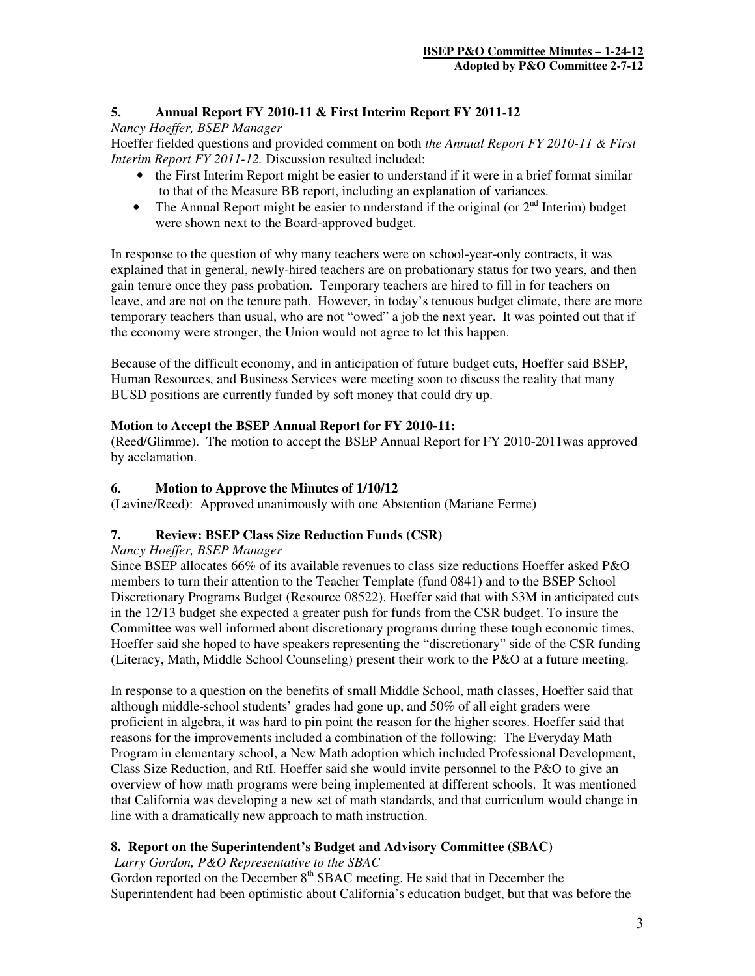## **5. Annual Report FY 2010-11 & First Interim Report FY 2011-12**

## *Nancy Hoeffer, BSEP Manager*

Hoeffer fielded questions and provided comment on both *the Annual Report FY 2010-11 & First Interim Report FY 2011-12.* Discussion resulted included:

- the First Interim Report might be easier to understand if it were in a brief format similar to that of the Measure BB report, including an explanation of variances.
- The Annual Report might be easier to understand if the original (or  $2<sup>nd</sup>$  Interim) budget were shown next to the Board-approved budget.

In response to the question of why many teachers were on school-year-only contracts, it was explained that in general, newly-hired teachers are on probationary status for two years, and then gain tenure once they pass probation. Temporary teachers are hired to fill in for teachers on leave, and are not on the tenure path. However, in today's tenuous budget climate, there are more temporary teachers than usual, who are not "owed" a job the next year. It was pointed out that if the economy were stronger, the Union would not agree to let this happen.

Because of the difficult economy, and in anticipation of future budget cuts, Hoeffer said BSEP, Human Resources, and Business Services were meeting soon to discuss the reality that many BUSD positions are currently funded by soft money that could dry up.

## **Motion to Accept the BSEP Annual Report for FY 2010-11:**

(Reed/Glimme). The motion to accept the BSEP Annual Report for FY 2010-2011was approved by acclamation.

## **6. Motion to Approve the Minutes of 1/10/12**

(Lavine/Reed): Approved unanimously with one Abstention (Mariane Ferme)

## **7. Review: BSEP Class Size Reduction Funds (CSR)**

### *Nancy Hoeffer, BSEP Manager*

Since BSEP allocates 66% of its available revenues to class size reductions Hoeffer asked P&O members to turn their attention to the Teacher Template (fund 0841) and to the BSEP School Discretionary Programs Budget (Resource 08522). Hoeffer said that with \$3M in anticipated cuts in the 12/13 budget she expected a greater push for funds from the CSR budget. To insure the Committee was well informed about discretionary programs during these tough economic times, Hoeffer said she hoped to have speakers representing the "discretionary" side of the CSR funding (Literacy, Math, Middle School Counseling) present their work to the P&O at a future meeting.

In response to a question on the benefits of small Middle School, math classes, Hoeffer said that although middle-school students' grades had gone up, and 50% of all eight graders were proficient in algebra, it was hard to pin point the reason for the higher scores. Hoeffer said that reasons for the improvements included a combination of the following: The Everyday Math Program in elementary school, a New Math adoption which included Professional Development, Class Size Reduction, and RtI. Hoeffer said she would invite personnel to the P&O to give an overview of how math programs were being implemented at different schools. It was mentioned that California was developing a new set of math standards, and that curriculum would change in line with a dramatically new approach to math instruction.

## **8. Report on the Superintendent's Budget and Advisory Committee (SBAC)**

 *Larry Gordon, P&O Representative to the SBAC* 

Gordon reported on the December  $8<sup>th</sup>$  SBAC meeting. He said that in December the Superintendent had been optimistic about California's education budget, but that was before the